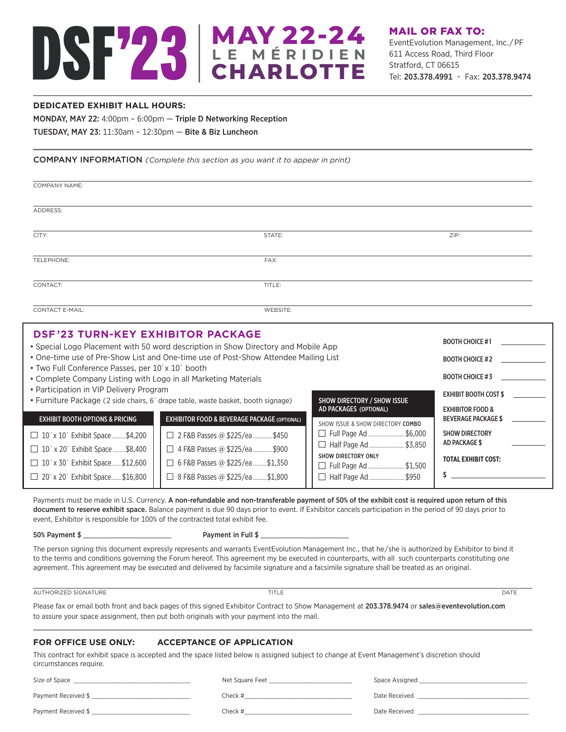# DSF'23 **MAY 22-24 L E M É RIDIEN CHARLOTTE**

## **DEDICATED EXHIBIT HALL HOURS:**

MONDAY, MAY 22: 4:00pm – 6:00pm — Triple D Networking Reception TUESDAY, MAY 23: 11:30am – 12:30pm — Bite & Biz Luncheon

## COMPANY INFORMATION *(Complete this section as you want it to appear in print)*

| <b>COMPANY NAME:</b>                                                                                                                                                                 |                                                                                                                                                                                                 |                                                                                                                       |                                                                                                                                     |
|--------------------------------------------------------------------------------------------------------------------------------------------------------------------------------------|-------------------------------------------------------------------------------------------------------------------------------------------------------------------------------------------------|-----------------------------------------------------------------------------------------------------------------------|-------------------------------------------------------------------------------------------------------------------------------------|
| ADDRESS:                                                                                                                                                                             |                                                                                                                                                                                                 |                                                                                                                       |                                                                                                                                     |
| CITY:                                                                                                                                                                                | STATE:                                                                                                                                                                                          |                                                                                                                       | ZIP:                                                                                                                                |
| TELEPHONE:                                                                                                                                                                           | FAX:                                                                                                                                                                                            |                                                                                                                       |                                                                                                                                     |
| CONTACT:                                                                                                                                                                             | TITLE:                                                                                                                                                                                          |                                                                                                                       |                                                                                                                                     |
| <b>CONTACT E-MAIL:</b>                                                                                                                                                               | <b>WEBSITE:</b>                                                                                                                                                                                 |                                                                                                                       |                                                                                                                                     |
| <b>DSF'23 TURN-KEY EXHIBITOR PACKAGE</b><br>• Two Full Conference Passes, per 10' x 10' booth<br>• Complete Company Listing with Logo in all Marketing Materials                     | • Special Logo Placement with 50 word description in Show Directory and Mobile App<br>• One-time use of Pre-Show List and One-time use of Post-Show Attendee Mailing List                       |                                                                                                                       | <b>BOOTH CHOICE #1</b><br><b>BOOTH CHOICE #2</b><br><b>BOOTH CHOICE #3</b>                                                          |
| • Participation in VIP Delivery Program<br><b>EXHIBIT BOOTH OPTIONS &amp; PRICING</b><br>$\Box$ 10' x 10' Exhibit Space\$4,200<br>$\Box$ 484 884 $\Box$ 11116 484 485 486 488 $\Box$ | • Furniture Package (2 side chairs, 6' drape table, waste basket, booth signage)<br><b>EXHIBITOR FOOD &amp; BEVERAGE PACKAGE (OPTIONAL)</b><br>$\Box$ 2 F&B Passes @ \$225/ea ___________ \$450 | SHOW DIRECTORY / SHOW ISSUE<br>AD PACKAGES (OPTIONAL)<br>SHOW ISSUE & SHOW DIRECTORY COMBO<br>□ Full Page Ad  \$6,000 | <b>EXHIBIT BOOTH COST \$</b><br><b>EXHIBITOR FOOD &amp;</b><br><b>BEVERAGE PACKAGE \$</b><br><b>SHOW DIRECTORY</b><br>AD PACKAGE \$ |

 10´x 20´ Exhibit Space............\$8,400 4 F&B Passes @ \$225/ea..................\$900  $\Box$  10´ x 30´ Exhibit Space........\$12,600  $||$   $\Box$  6 F&B Passes @ \$225/ea...........\$1,350 □ 20´ x 20´ Exhibit Space......... \$16,800 | | □ 8 F&B Passes @ \$225/ea............. \$1,800

Payments must be made in U.S. Currency. A non-refundable and non-transferable payment of 50% of the exhibit cost is required upon return of this document to reserve exhibit space. Balance payment is due 90 days prior to event. If Exhibitor cancels participation in the period of 90 days prior to event, Exhibitor is responsible for 100% of the contracted total exhibit fee.

SHOW DIRECTORY ONLY

 Full Page Ad..................................\$1,500 Half Page Ad.................................\$950

50% Payment \$ \_\_\_\_\_\_\_\_\_\_\_\_\_\_\_\_\_\_\_\_\_\_\_\_\_\_\_\_\_\_ Payment in Full \$ \_\_\_\_\_\_\_\_\_\_\_\_\_\_\_\_\_\_\_\_\_\_\_\_\_\_\_\_\_\_

The person signing this document expressly represents and warrants EventEvolution Management Inc., that he/she is authorized by Exhibitor to bind it to the terms and conditions governing the Forum hereof. This agreement my be executed in counterparts, with all such counterparts constituting one agreement. This agreement may be executed and delivered by facsimile signature and a facsimile signature shall be treated as an original.

AUTHORIZED SIGNATURE **THE SIGNATURE TITLE** 

**TOTAL EXHIBIT COST:**

**\$**

Please fax or email both front and back pages of this signed Exhibitor Contract to Show Management at 203.378.9474 or sales@eventevolution.com to assure your space assignment, then put both originals with your payment into the mail.

## **FOR OFFICE USE ONLY: ACCEPTANCE OF APPLICATION**

This contract for exhibit space is accepted and the space listed below is assigned subject to change at Event Management's discretion should circumstances require.

| Size of Space       | Net Square Feet | Space Assigned |
|---------------------|-----------------|----------------|
| Payment Received \$ | Check #         | Date Received  |
| Payment Received \$ | Check #         | Date Received  |

MAIL OR FAX TO:

Stratford, CT 06615

EventEvolution Management, Inc./PF 611 Access Road, Third Floor

Tel: 203.378.4991 • Fax: 203.378.9474